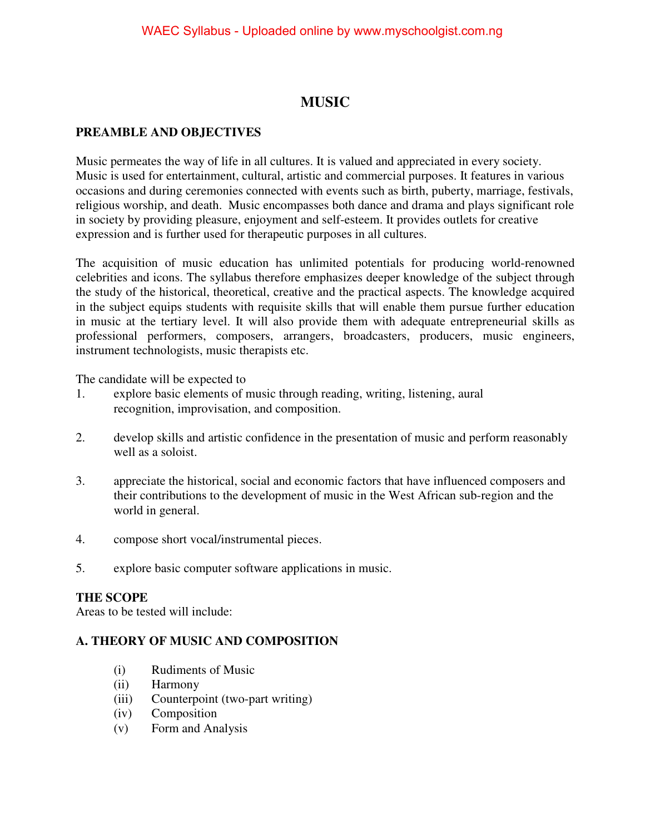# **MUSIC**

# **PREAMBLE AND OBJECTIVES**

Music permeates the way of life in all cultures. It is valued and appreciated in every society. Music is used for entertainment, cultural, artistic and commercial purposes. It features in various occasions and during ceremonies connected with events such as birth, puberty, marriage, festivals, religious worship, and death. Music encompasses both dance and drama and plays significant role in society by providing pleasure, enjoyment and self-esteem. It provides outlets for creative expression and is further used for therapeutic purposes in all cultures.

The acquisition of music education has unlimited potentials for producing world-renowned celebrities and icons. The syllabus therefore emphasizes deeper knowledge of the subject through the study of the historical, theoretical, creative and the practical aspects. The knowledge acquired in the subject equips students with requisite skills that will enable them pursue further education in music at the tertiary level. It will also provide them with adequate entrepreneurial skills as professional performers, composers, arrangers, broadcasters, producers, music engineers, instrument technologists, music therapists etc.

The candidate will be expected to

- 1. explore basic elements of music through reading, writing, listening, aural recognition, improvisation, and composition.
- 2. develop skills and artistic confidence in the presentation of music and perform reasonably well as a soloist.
- 3. appreciate the historical, social and economic factors that have influenced composers and their contributions to the development of music in the West African sub-region and the world in general.
- 4. compose short vocal/instrumental pieces.
- 5. explore basic computer software applications in music.

# **THE SCOPE**

Areas to be tested will include:

# **A. THEORY OF MUSIC AND COMPOSITION**

- (i) Rudiments of Music
- (ii) Harmony
- (iii) Counterpoint (two-part writing)
- (iv) Composition
- (v) Form and Analysis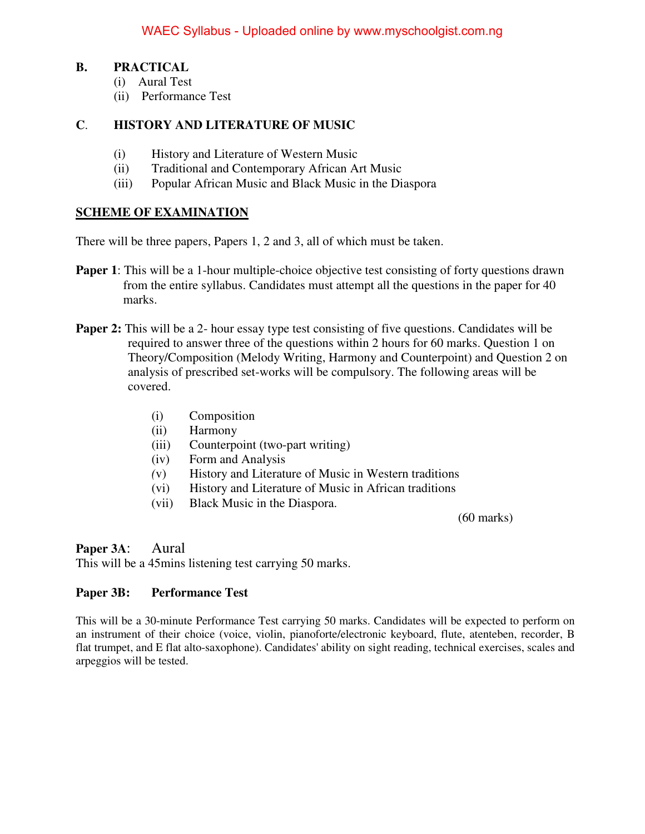### **B. PRACTICAL**

- (i) Aural Test
- (ii) Performance Test

# **C**. **HISTORY AND LITERATURE OF MUSIC**

- (i) History and Literature of Western Music
- (ii) Traditional and Contemporary African Art Music
- (iii) Popular African Music and Black Music in the Diaspora

# **SCHEME OF EXAMINATION**

There will be three papers, Papers 1, 2 and 3, all of which must be taken.

- **Paper 1**: This will be a 1-hour multiple-choice objective test consisting of forty questions drawn from the entire syllabus. Candidates must attempt all the questions in the paper for 40 marks.
- **Paper 2:** This will be a 2- hour essay type test consisting of five questions. Candidates will be required to answer three of the questions within 2 hours for 60 marks. Question 1 on Theory/Composition (Melody Writing, Harmony and Counterpoint) and Question 2 on analysis of prescribed set-works will be compulsory. The following areas will be covered.
	- (i) Composition
	- (ii) Harmony
	- (iii) Counterpoint (two-part writing)
	- (iv) Form and Analysis
	- *(*v) History and Literature of Music in Western traditions
	- (vi) History and Literature of Music in African traditions
	- (vii) Black Music in the Diaspora.

(60 marks)

**Paper 3A**: Aural

This will be a 45mins listening test carrying 50 marks.

# **Paper 3B: Performance Test**

This will be a 30-minute Performance Test carrying 50 marks. Candidates will be expected to perform on an instrument of their choice (voice, violin, pianoforte/electronic keyboard, flute, atenteben, recorder, B flat trumpet, and E flat alto-saxophone). Candidates' ability on sight reading, technical exercises, scales and arpeggios will be tested.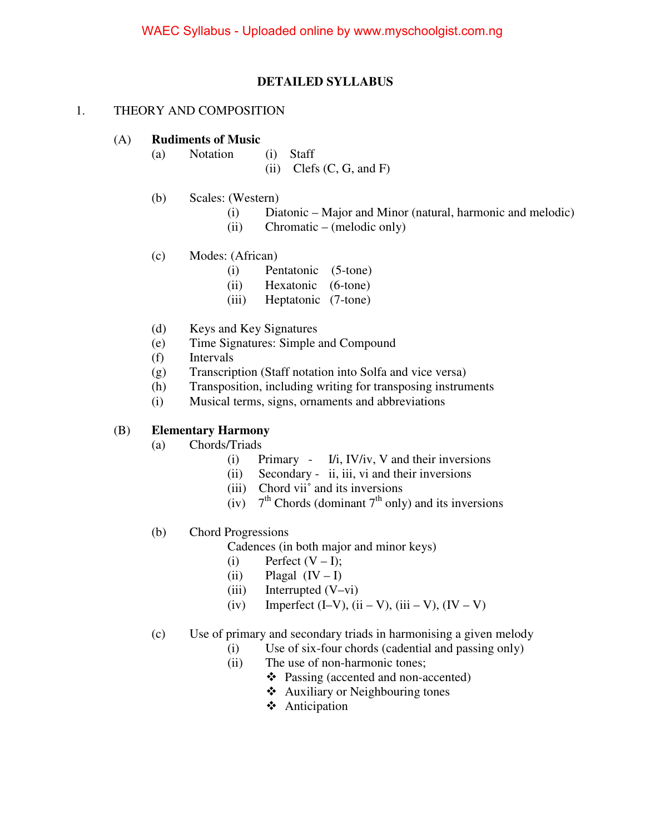### **DETAILED SYLLABUS**

#### 1. THEORY AND COMPOSITION

#### (A) **Rudiments of Music**

- (a) Notation (i) Staff
	- (ii) Clefs  $(C, G, \text{ and } F)$
- (b) Scales: (Western)
	- (i) Diatonic Major and Minor (natural, harmonic and melodic)
	- (ii) Chromatic (melodic only)
- (c) Modes: (African)
	- (i) Pentatonic (5-tone)
	- (ii) Hexatonic (6-tone)
	- (iii) Heptatonic (7-tone)
- (d) Keys and Key Signatures
- (e) Time Signatures: Simple and Compound
- (f) Intervals
- (g) Transcription (Staff notation into Solfa and vice versa)
- (h) Transposition, including writing for transposing instruments
- (i) Musical terms, signs, ornaments and abbreviations

#### (B) **Elementary Harmony**

- (a) Chords/Triads
	- (i) Primary I/i, IV/iv, V and their inversions
	- (ii) Secondary ii, iii, vi and their inversions
	- (iii) Chord vii˚ and its inversions
	- (iv)  $7<sup>th</sup>$  Chords (dominant  $7<sup>th</sup>$  only) and its inversions
- (b) Chord Progressions

Cadences (in both major and minor keys)

- (i) Perfect  $(V I)$ ;
- (ii) Plagal  $(IV I)$
- $(iii)$  Interrupted  $(V-vi)$
- (iv) Imperfect (I–V), (ii V), (iii V), (IV V)
- (c) Use of primary and secondary triads in harmonising a given melody
	- (i) Use of six-four chords (cadential and passing only)
	- (ii) The use of non-harmonic tones;
		- Passing (accented and non-accented)
		- Auxiliary or Neighbouring tones
		- Anticipation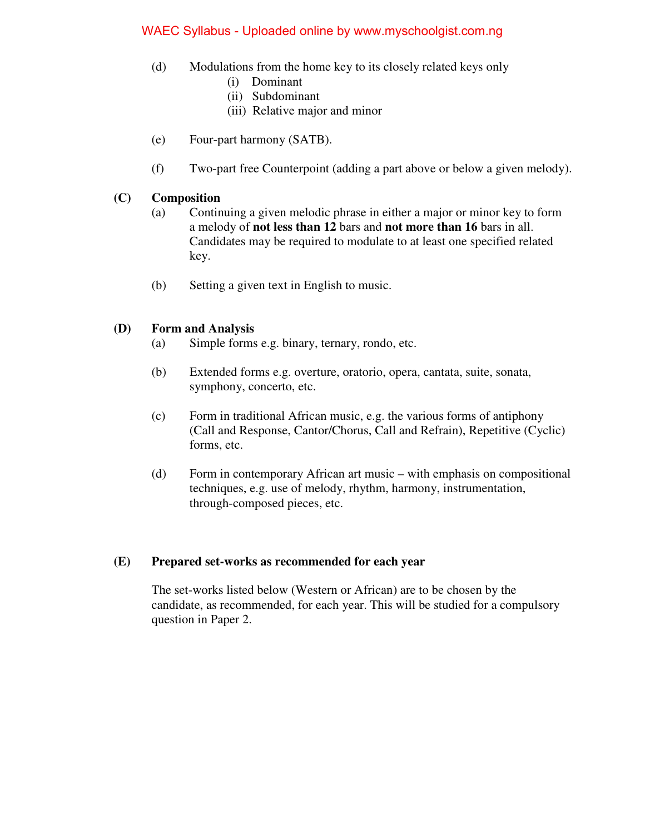- (d) Modulations from the home key to its closely related keys only
	- (i) Dominant
	- (ii) Subdominant
	- (iii) Relative major and minor
- (e) Four-part harmony (SATB).
- (f) Two-part free Counterpoint (adding a part above or below a given melody).

### **(C) Composition**

- (a) Continuing a given melodic phrase in either a major or minor key to form a melody of **not less than 12** bars and **not more than 16** bars in all. Candidates may be required to modulate to at least one specified related key.
- (b) Setting a given text in English to music.

### **(D) Form and Analysis**

- (a) Simple forms e.g. binary, ternary, rondo, etc.
- (b) Extended forms e.g. overture, oratorio, opera, cantata, suite, sonata, symphony, concerto, etc.
- (c) Form in traditional African music, e.g. the various forms of antiphony (Call and Response, Cantor/Chorus, Call and Refrain), Repetitive (Cyclic) forms, etc.
- (d) Form in contemporary African art music with emphasis on compositional techniques, e.g. use of melody, rhythm, harmony, instrumentation, through-composed pieces, etc.

#### **(E) Prepared set-works as recommended for each year**

 The set-works listed below (Western or African) are to be chosen by the candidate, as recommended, for each year. This will be studied for a compulsory question in Paper 2.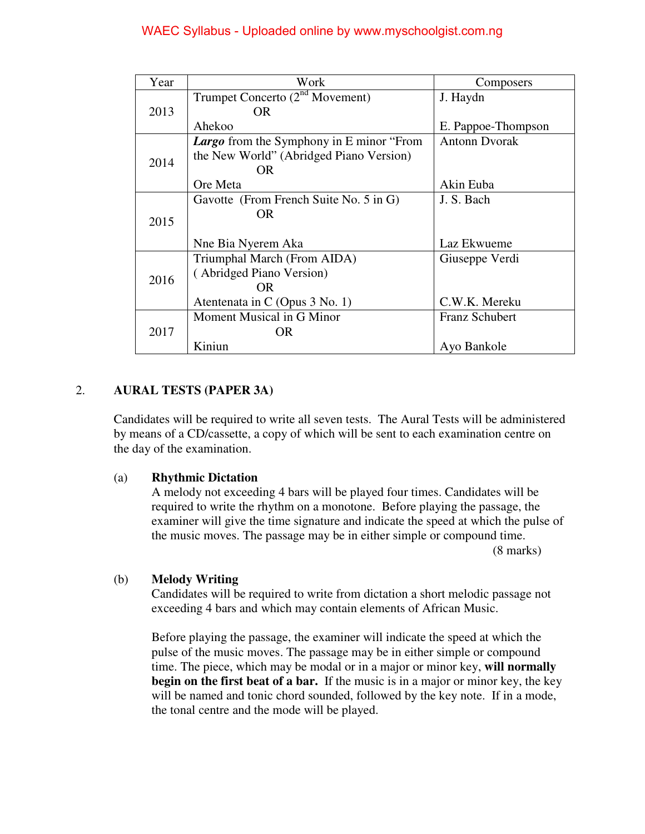| Year | Work                                            | Composers             |
|------|-------------------------------------------------|-----------------------|
|      | Trumpet Concerto $(2^{nd}$ Movement)            | J. Haydn              |
| 2013 | OR.                                             |                       |
|      | Ahekoo                                          | E. Pappoe-Thompson    |
|      | <b>Largo</b> from the Symphony in E minor "From | <b>Antonn Dyorak</b>  |
| 2014 | the New World" (Abridged Piano Version)         |                       |
|      | OR.                                             |                       |
|      | Ore Meta                                        | Akin Euba             |
|      | Gavotte (From French Suite No. 5 in G)          | J. S. Bach            |
| 2015 | OR.                                             |                       |
|      |                                                 |                       |
|      | Nne Bia Nyerem Aka                              | Laz Ekwueme           |
|      | Triumphal March (From AIDA)                     | Giuseppe Verdi        |
| 2016 | (Abridged Piano Version)                        |                       |
|      | OR.                                             |                       |
|      | Atentenata in C (Opus 3 No. 1)                  | C.W.K. Mereku         |
|      | Moment Musical in G Minor                       | <b>Franz Schubert</b> |
| 2017 | OR.                                             |                       |
|      | Kiniun                                          | Ayo Bankole           |

# 2. **AURAL TESTS (PAPER 3A)**

 Candidates will be required to write all seven tests. The Aural Tests will be administered by means of a CD/cassette, a copy of which will be sent to each examination centre on the day of the examination.

#### (a) **Rhythmic Dictation**

 A melody not exceeding 4 bars will be played four times. Candidates will be required to write the rhythm on a monotone. Before playing the passage, the examiner will give the time signature and indicate the speed at which the pulse of the music moves. The passage may be in either simple or compound time. (8 marks)

### (b) **Melody Writing**

 Candidates will be required to write from dictation a short melodic passage not exceeding 4 bars and which may contain elements of African Music.

 Before playing the passage, the examiner will indicate the speed at which the pulse of the music moves. The passage may be in either simple or compound time. The piece, which may be modal or in a major or minor key, **will normally begin on the first beat of a bar.** If the music is in a major or minor key, the key will be named and tonic chord sounded, followed by the key note. If in a mode, the tonal centre and the mode will be played.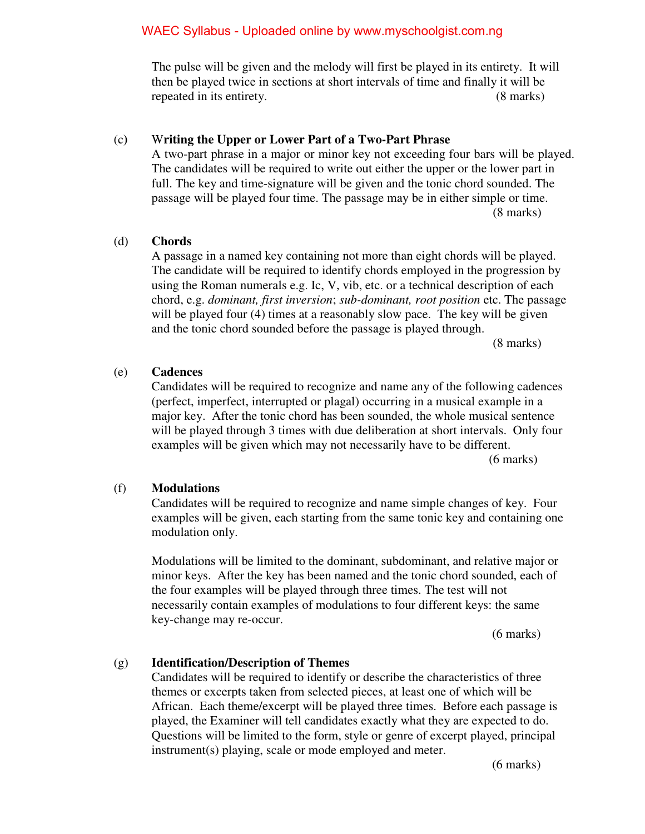The pulse will be given and the melody will first be played in its entirety. It will then be played twice in sections at short intervals of time and finally it will be repeated in its entirety. (8 marks)

#### (c**)** W**riting the Upper or Lower Part of a Two-Part Phrase**

 A two-part phrase in a major or minor key not exceeding four bars will be played. The candidates will be required to write out either the upper or the lower part in full. The key and time-signature will be given and the tonic chord sounded. The passage will be played four time. The passage may be in either simple or time. (8 marks)

### (d) **Chords**

 A passage in a named key containing not more than eight chords will be played. The candidate will be required to identify chords employed in the progression by using the Roman numerals e.g. Ic, V, vib, etc. or a technical description of each chord, e.g. *dominant, first inversion*; *sub-dominant, root position* etc. The passage will be played four (4) times at a reasonably slow pace. The key will be given and the tonic chord sounded before the passage is played through.

(8 marks)

#### (e) **Cadences**

 Candidates will be required to recognize and name any of the following cadences (perfect, imperfect, interrupted or plagal) occurring in a musical example in a major key. After the tonic chord has been sounded, the whole musical sentence will be played through 3 times with due deliberation at short intervals. Only four examples will be given which may not necessarily have to be different.

(6 marks)

#### (f) **Modulations**

 Candidates will be required to recognize and name simple changes of key. Four examples will be given, each starting from the same tonic key and containing one modulation only.

 Modulations will be limited to the dominant, subdominant, and relative major or minor keys. After the key has been named and the tonic chord sounded, each of the four examples will be played through three times. The test will not necessarily contain examples of modulations to four different keys: the same key-change may re-occur.

(6 marks)

# (g) **Identification/Description of Themes**

 Candidates will be required to identify or describe the characteristics of three themes or excerpts taken from selected pieces, at least one of which will be African. Each theme/excerpt will be played three times. Before each passage is played, the Examiner will tell candidates exactly what they are expected to do. Questions will be limited to the form, style or genre of excerpt played, principal instrument(s) playing, scale or mode employed and meter.

(6 marks)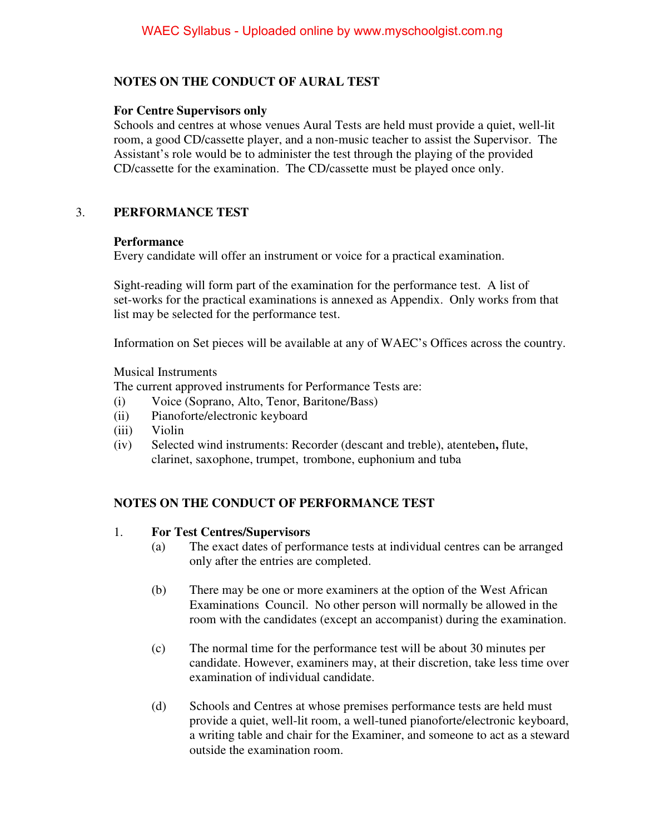# **NOTES ON THE CONDUCT OF AURAL TEST**

### **For Centre Supervisors only**

 Schools and centres at whose venues Aural Tests are held must provide a quiet, well-lit room, a good CD/cassette player, and a non-music teacher to assist the Supervisor. The Assistant's role would be to administer the test through the playing of the provided CD/cassette for the examination. The CD/cassette must be played once only.

# 3. **PERFORMANCE TEST**

#### **Performance**

Every candidate will offer an instrument or voice for a practical examination.

 Sight-reading will form part of the examination for the performance test. A list of set-works for the practical examinations is annexed as Appendix. Only works from that list may be selected for the performance test.

Information on Set pieces will be available at any of WAEC's Offices across the country.

Musical Instruments

The current approved instruments for Performance Tests are:

- (i) Voice (Soprano, Alto, Tenor, Baritone/Bass)
- (ii) Pianoforte/electronic keyboard
- (iii) Violin
- (iv) Selected wind instruments: Recorder (descant and treble), atenteben**,** flute, clarinet, saxophone, trumpet, trombone, euphonium and tuba

# **NOTES ON THE CONDUCT OF PERFORMANCE TEST**

# 1. **For Test Centres/Supervisors**

- (a) The exact dates of performance tests at individual centres can be arranged only after the entries are completed.
- (b) There may be one or more examiners at the option of the West African Examinations Council. No other person will normally be allowed in the room with the candidates (except an accompanist) during the examination.
- (c) The normal time for the performance test will be about 30 minutes per candidate. However, examiners may, at their discretion, take less time over examination of individual candidate.
- (d) Schools and Centres at whose premises performance tests are held must provide a quiet, well-lit room, a well-tuned pianoforte/electronic keyboard, a writing table and chair for the Examiner, and someone to act as a steward outside the examination room.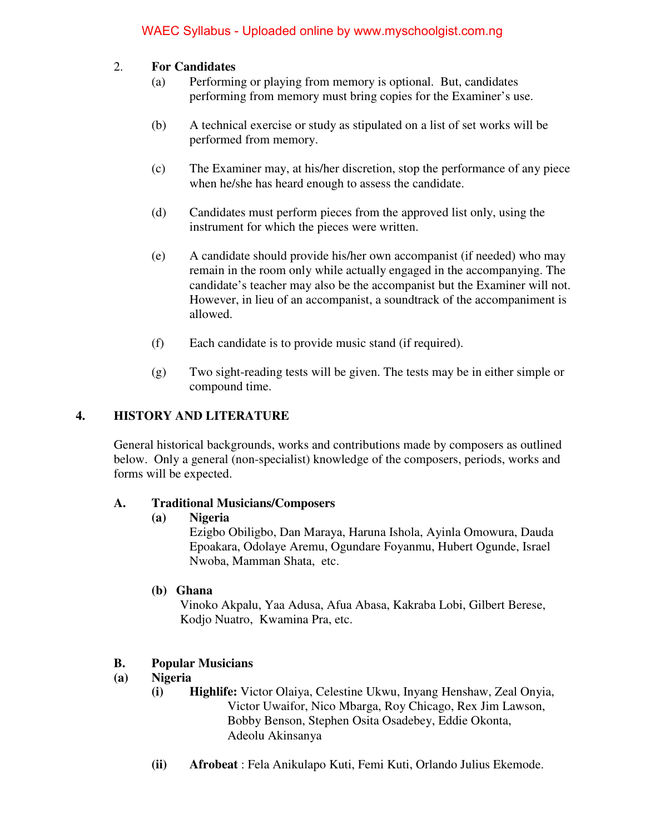# 2. **For Candidates**

- (a) Performing or playing from memory is optional. But, candidates performing from memory must bring copies for the Examiner's use.
- (b) A technical exercise or study as stipulated on a list of set works will be performed from memory.
- (c) The Examiner may, at his/her discretion, stop the performance of any piece when he/she has heard enough to assess the candidate.
- (d) Candidates must perform pieces from the approved list only, using the instrument for which the pieces were written.
- (e) A candidate should provide his/her own accompanist (if needed) who may remain in the room only while actually engaged in the accompanying. The candidate's teacher may also be the accompanist but the Examiner will not. However, in lieu of an accompanist, a soundtrack of the accompaniment is allowed.
- (f) Each candidate is to provide music stand (if required).
- (g) Two sight-reading tests will be given. The tests may be in either simple or compound time.

# **4. HISTORY AND LITERATURE**

 General historical backgrounds, works and contributions made by composers as outlined below. Only a general (non-specialist) knowledge of the composers, periods, works and forms will be expected.

# **A. Traditional Musicians/Composers**

#### **(a) Nigeria**

Ezigbo Obiligbo, Dan Maraya, Haruna Ishola, Ayinla Omowura, Dauda Epoakara, Odolaye Aremu, Ogundare Foyanmu, Hubert Ogunde, Israel Nwoba, Mamman Shata, etc.

# **(b) Ghana**

 Vinoko Akpalu, Yaa Adusa, Afua Abasa, Kakraba Lobi, Gilbert Berese, Kodjo Nuatro, Kwamina Pra, etc.

# **B. Popular Musicians**

# **(a) Nigeria**

- **(i) Highlife:** Victor Olaiya, Celestine Ukwu, Inyang Henshaw, Zeal Onyia, Victor Uwaifor, Nico Mbarga, Roy Chicago, Rex Jim Lawson, Bobby Benson, Stephen Osita Osadebey, Eddie Okonta, Adeolu Akinsanya
- **(ii) Afrobeat** : Fela Anikulapo Kuti, Femi Kuti, Orlando Julius Ekemode.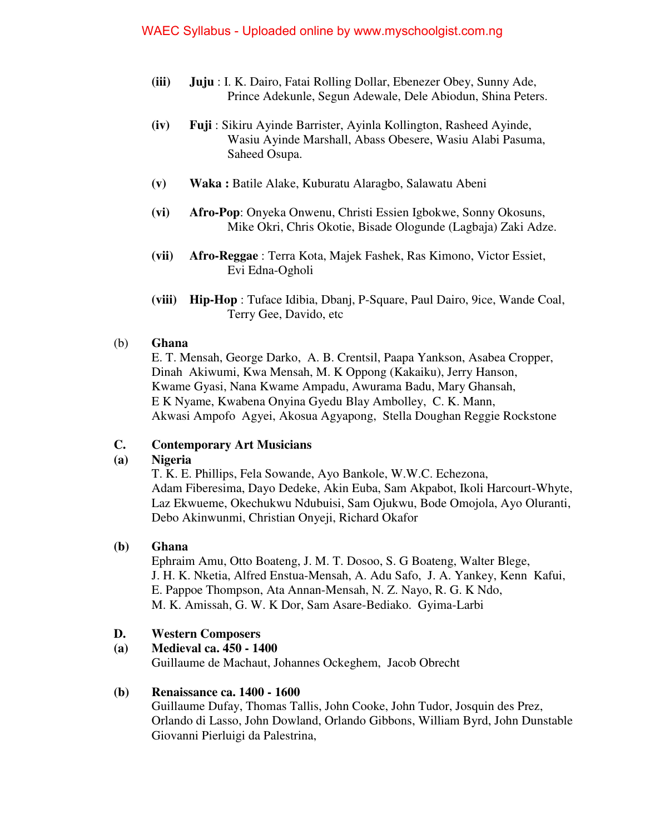- **(iii) Juju** : I. K. Dairo, Fatai Rolling Dollar, Ebenezer Obey, Sunny Ade, Prince Adekunle, Segun Adewale, Dele Abiodun, Shina Peters.
- **(iv) Fuji** : Sikiru Ayinde Barrister, Ayinla Kollington, Rasheed Ayinde, Wasiu Ayinde Marshall, Abass Obesere, Wasiu Alabi Pasuma, Saheed Osupa.
- **(v) Waka :** Batile Alake, Kuburatu Alaragbo, Salawatu Abeni
- **(vi) Afro-Pop**: Onyeka Onwenu, Christi Essien Igbokwe, Sonny Okosuns, Mike Okri, Chris Okotie, Bisade Ologunde (Lagbaja) Zaki Adze.
- **(vii) Afro-Reggae** : Terra Kota, Majek Fashek, Ras Kimono, Victor Essiet, Evi Edna-Ogholi
- **(viii) Hip-Hop** : Tuface Idibia, Dbanj, P-Square, Paul Dairo, 9ice, Wande Coal, Terry Gee, Davido, etc

# (b) **Ghana**

 E. T. Mensah, George Darko, A. B. Crentsil, Paapa Yankson, Asabea Cropper, Dinah Akiwumi, Kwa Mensah, M. K Oppong (Kakaiku), Jerry Hanson, Kwame Gyasi, Nana Kwame Ampadu, Awurama Badu, Mary Ghansah, E K Nyame, Kwabena Onyina Gyedu Blay Ambolley, C. K. Mann, Akwasi Ampofo Agyei, Akosua Agyapong, Stella Doughan Reggie Rockstone

# **C. Contemporary Art Musicians**

# **(a) Nigeria**

 T. K. E. Phillips, Fela Sowande, Ayo Bankole, W.W.C. Echezona, Adam Fiberesima, Dayo Dedeke, Akin Euba, Sam Akpabot, Ikoli Harcourt-Whyte, Laz Ekwueme, Okechukwu Ndubuisi, Sam Ojukwu, Bode Omojola, Ayo Oluranti, Debo Akinwunmi, Christian Onyeji, Richard Okafor

# **(b) Ghana**

 Ephraim Amu, Otto Boateng, J. M. T. Dosoo, S. G Boateng, Walter Blege, J. H. K. Nketia, Alfred Enstua-Mensah, A. Adu Safo, J. A. Yankey, Kenn Kafui, E. Pappoe Thompson, Ata Annan-Mensah, N. Z. Nayo, R. G. K Ndo, M. K. Amissah, G. W. K Dor, Sam Asare-Bediako. Gyima-Larbi

# **D. Western Composers**

# **(a) Medieval ca. 450 - 1400**

Guillaume de Machaut, Johannes Ockeghem, Jacob Obrecht

# **(b) Renaissance ca. 1400 - 1600**

 Guillaume Dufay, Thomas Tallis, John Cooke, John Tudor, Josquin des Prez, Orlando di Lasso, John Dowland, Orlando Gibbons, William Byrd, John Dunstable Giovanni Pierluigi da Palestrina,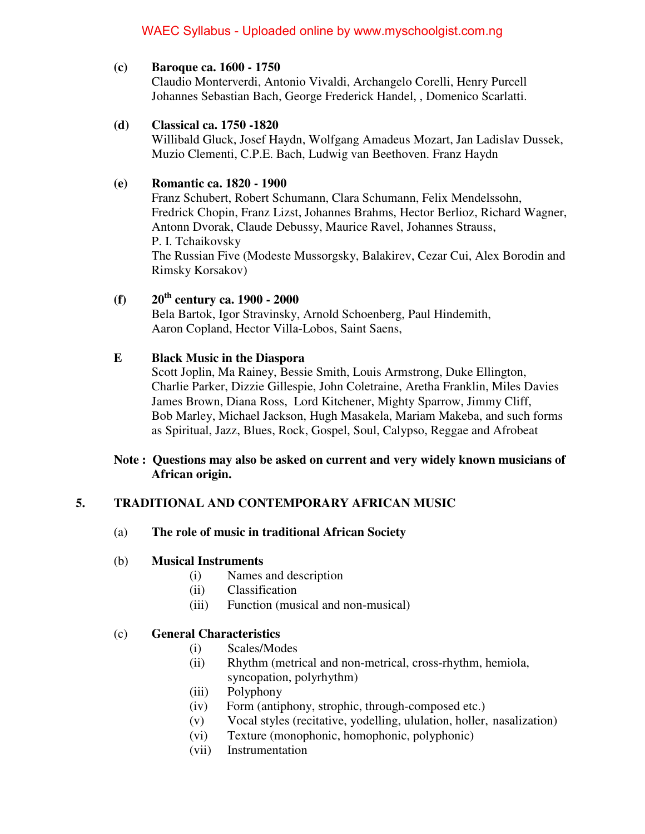#### **(c) Baroque ca. 1600 - 1750**

 Claudio Monterverdi, Antonio Vivaldi, Archangelo Corelli, Henry Purcell Johannes Sebastian Bach, George Frederick Handel, , Domenico Scarlatti.

### **(d) Classical ca. 1750 -1820**

 Willibald Gluck, Josef Haydn, Wolfgang Amadeus Mozart, Jan Ladislav Dussek, Muzio Clementi, C.P.E. Bach, Ludwig van Beethoven. Franz Haydn

### **(e) Romantic ca. 1820 - 1900**

 Franz Schubert, Robert Schumann, Clara Schumann, Felix Mendelssohn, Fredrick Chopin, Franz Lizst, Johannes Brahms, Hector Berlioz, Richard Wagner, Antonn Dvorak, Claude Debussy, Maurice Ravel, Johannes Strauss, P. I. Tchaikovsky The Russian Five (Modeste Mussorgsky, Balakirev, Cezar Cui, Alex Borodin and Rimsky Korsakov)

# **(f) 20th century ca. 1900 - 2000**

 Bela Bartok, Igor Stravinsky, Arnold Schoenberg, Paul Hindemith, Aaron Copland, Hector Villa-Lobos, Saint Saens,

### **E Black Music in the Diaspora**

 Scott Joplin, Ma Rainey, Bessie Smith, Louis Armstrong, Duke Ellington, Charlie Parker, Dizzie Gillespie, John Coletraine, Aretha Franklin, Miles Davies James Brown, Diana Ross, Lord Kitchener, Mighty Sparrow, Jimmy Cliff, Bob Marley, Michael Jackson, Hugh Masakela, Mariam Makeba, and such forms as Spiritual, Jazz, Blues, Rock, Gospel, Soul, Calypso, Reggae and Afrobeat

### **Note : Questions may also be asked on current and very widely known musicians of African origin.**

# **5. TRADITIONAL AND CONTEMPORARY AFRICAN MUSIC**

#### (a) **The role of music in traditional African Society**

#### (b) **Musical Instruments**

- (i) Names and description
- (ii) Classification
- (iii) Function (musical and non-musical)

### (c) **General Characteristics**

- (i) Scales/Modes
- (ii) Rhythm (metrical and non-metrical, cross-rhythm, hemiola,
- syncopation, polyrhythm)
- (iii) Polyphony
- (iv) Form (antiphony, strophic, through-composed etc.)
- (v) Vocal styles (recitative, yodelling, ululation, holler, nasalization)
- (vi) Texture (monophonic, homophonic, polyphonic)
- (vii) Instrumentation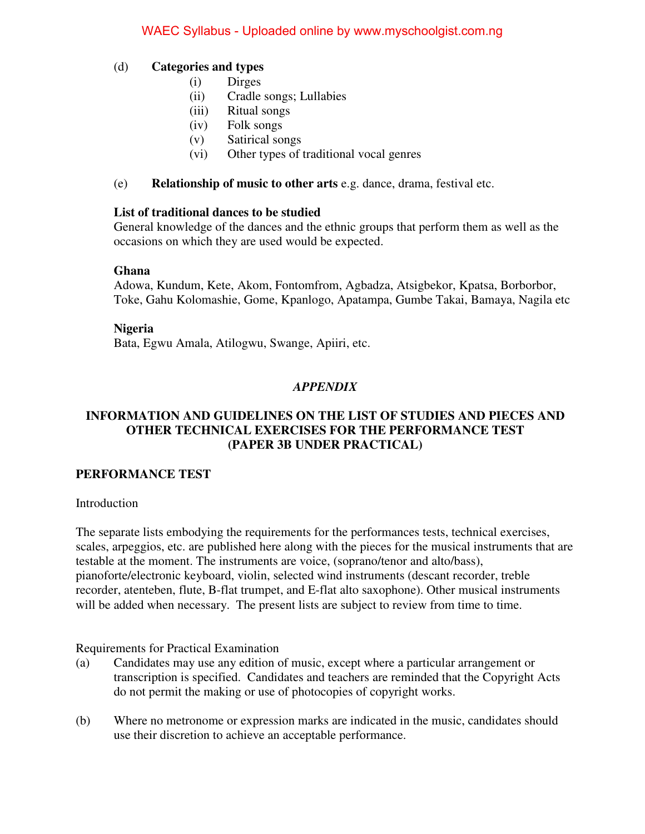#### (d) **Categories and types**

- (i) Dirges
- (ii) Cradle songs; Lullabies
- (iii) Ritual songs
- (iv) Folk songs
- (v) Satirical songs
- (vi) Other types of traditional vocal genres
- (e) **Relationship of music to other arts** e.g. dance, drama, festival etc.

#### **List of traditional dances to be studied**

 General knowledge of the dances and the ethnic groups that perform them as well as the occasions on which they are used would be expected.

#### **Ghana**

 Adowa, Kundum, Kete, Akom, Fontomfrom, Agbadza, Atsigbekor, Kpatsa, Borborbor, Toke, Gahu Kolomashie, Gome, Kpanlogo, Apatampa, Gumbe Takai, Bamaya, Nagila etc

#### **Nigeria**

Bata, Egwu Amala, Atilogwu, Swange, Apiiri, etc.

# *APPENDIX*

### **INFORMATION AND GUIDELINES ON THE LIST OF STUDIES AND PIECES AND OTHER TECHNICAL EXERCISES FOR THE PERFORMANCE TEST (PAPER 3B UNDER PRACTICAL)**

#### **PERFORMANCE TEST**

#### Introduction

The separate lists embodying the requirements for the performances tests, technical exercises, scales, arpeggios, etc. are published here along with the pieces for the musical instruments that are testable at the moment. The instruments are voice, (soprano/tenor and alto/bass), pianoforte/electronic keyboard, violin, selected wind instruments (descant recorder, treble recorder, atenteben, flute, B-flat trumpet, and E-flat alto saxophone). Other musical instruments will be added when necessary. The present lists are subject to review from time to time.

Requirements for Practical Examination

- (a) Candidates may use any edition of music, except where a particular arrangement or transcription is specified. Candidates and teachers are reminded that the Copyright Acts do not permit the making or use of photocopies of copyright works.
- (b) Where no metronome or expression marks are indicated in the music, candidates should use their discretion to achieve an acceptable performance.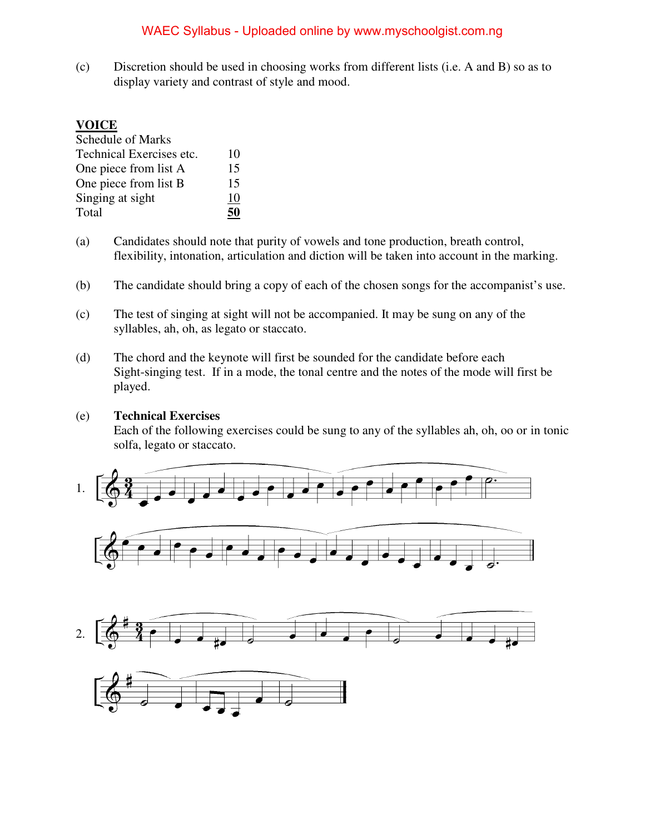(c) Discretion should be used in choosing works from different lists (i.e. A and B) so as to display variety and contrast of style and mood.

#### **VOICE**

| <b>Schedule of Marks</b> |    |
|--------------------------|----|
| Technical Exercises etc. | 10 |
| One piece from list A    | 15 |
| One piece from list B    | 15 |
| Singing at sight         | 10 |
| Total                    |    |

- (a) Candidates should note that purity of vowels and tone production, breath control, flexibility, intonation, articulation and diction will be taken into account in the marking.
- (b) The candidate should bring a copy of each of the chosen songs for the accompanist's use.
- (c) The test of singing at sight will not be accompanied. It may be sung on any of the syllables, ah, oh, as legato or staccato.
- (d) The chord and the keynote will first be sounded for the candidate before each Sight-singing test. If in a mode, the tonal centre and the notes of the mode will first be played.

#### (e) **Technical Exercises**

 Each of the following exercises could be sung to any of the syllables ah, oh, oo or in tonic solfa, legato or staccato.







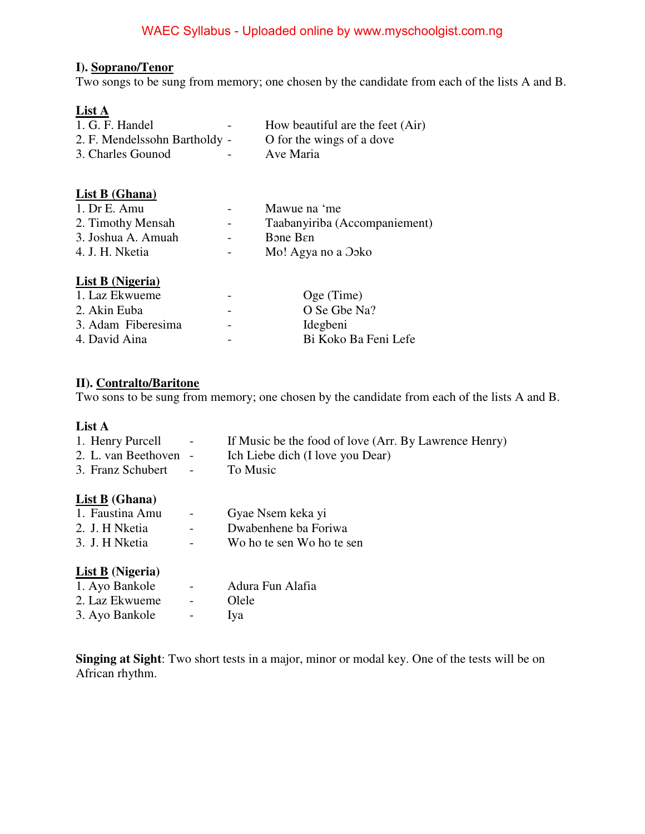#### **I). Soprano/Tenor**

Two songs to be sung from memory; one chosen by the candidate from each of the lists A and B.

# **List A**

| 1. G. F. Handel               | $\sim$        | How beautiful are the feet (Air) |
|-------------------------------|---------------|----------------------------------|
| 2. F. Mendelssohn Bartholdy - |               | O for the wings of a dove        |
| 3. Charles Gounod             | $\sim$ $\sim$ | Ave Maria                        |

# **List B (Ghana)**

| $\overline{\phantom{0}}$ | Mawue na 'me                  |
|--------------------------|-------------------------------|
| $\sim$ 100 $\mu$         | Taabanyiriba (Accompaniement) |
| $\overline{\phantom{0}}$ | <b>B</b> one Ben              |
| $\sim$                   | Mo! Agya no a Ooko            |
|                          |                               |

### **List B (Nigeria)**

| 1. Laz Ekwueme     |                          | Oge (Time)           |
|--------------------|--------------------------|----------------------|
| 2. Akin Euba       |                          | O Se Gbe Na?         |
| 3. Adam Fiberesima | $\overline{\phantom{0}}$ | Idegbeni             |
| 4. David Aina      |                          | Bi Koko Ba Feni Lefe |
|                    |                          |                      |

#### **II). Contralto/Baritone**

Two sons to be sung from memory; one chosen by the candidate from each of the lists A and B.

#### **List A**

| 1. Henry Purcell      | <b>Contract Contract</b> | If Music be the food of love (Arr. By Lawrence Henry) |
|-----------------------|--------------------------|-------------------------------------------------------|
| 2. L. van Beethoven - |                          | Ich Liebe dich (I love you Dear)                      |
| 3. Franz Schubert -   |                          | To Music                                              |

#### **List B (Ghana)**

| 1. Faustina Amu | $\blacksquare$           | Gyae Nsem keka yi         |
|-----------------|--------------------------|---------------------------|
| 2. J. H Nketia  | $\overline{\phantom{0}}$ | Dwabenhene ba Foriwa      |
| 3. J. H Nketia  | $\overline{\phantom{0}}$ | Wo ho te sen Wo ho te sen |

#### **List B (Nigeria)**

| 1. Ayo Bankole | $\overline{\phantom{0}}$ | Adura Fun Alafia |
|----------------|--------------------------|------------------|
| 2. Laz Ekwueme | $\overline{\phantom{0}}$ | Olele            |
| 3. Ayo Bankole |                          | <b>Iya</b>       |

**Singing at Sight**: Two short tests in a major, minor or modal key. One of the tests will be on African rhythm.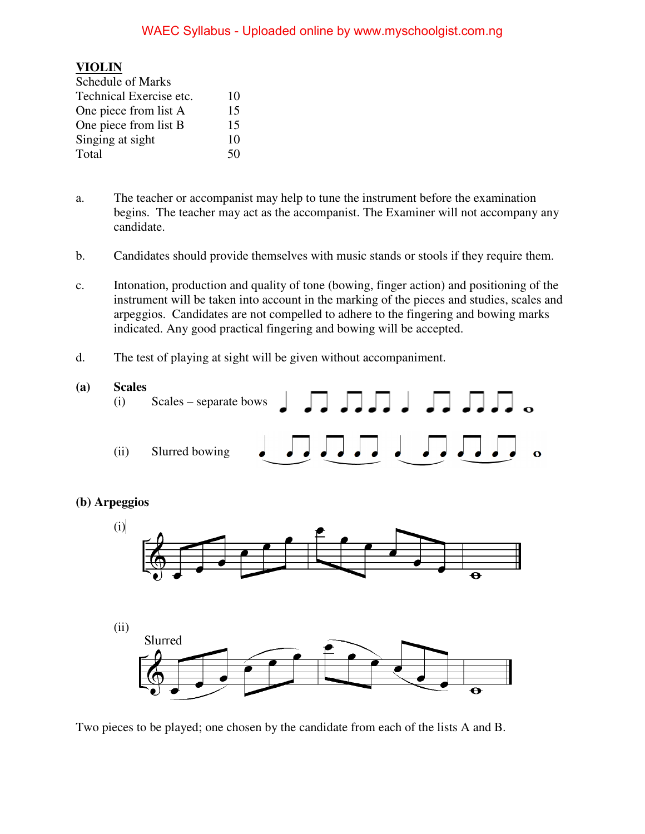# **VIOLIN**

| <b>Schedule of Marks</b> |    |
|--------------------------|----|
| Technical Exercise etc.  | 10 |
| One piece from list A    | 15 |
| One piece from list B    | 15 |
| Singing at sight         | 10 |
| Total                    | 50 |

- a. The teacher or accompanist may help to tune the instrument before the examination begins. The teacher may act as the accompanist. The Examiner will not accompany any candidate.
- b. Candidates should provide themselves with music stands or stools if they require them.
- c. Intonation, production and quality of tone (bowing, finger action) and positioning of the instrument will be taken into account in the marking of the pieces and studies, scales and arpeggios. Candidates are not compelled to adhere to the fingering and bowing marks indicated. Any good practical fingering and bowing will be accepted.
- d. The test of playing at sight will be given without accompaniment.



Two pieces to be played; one chosen by the candidate from each of the lists A and B.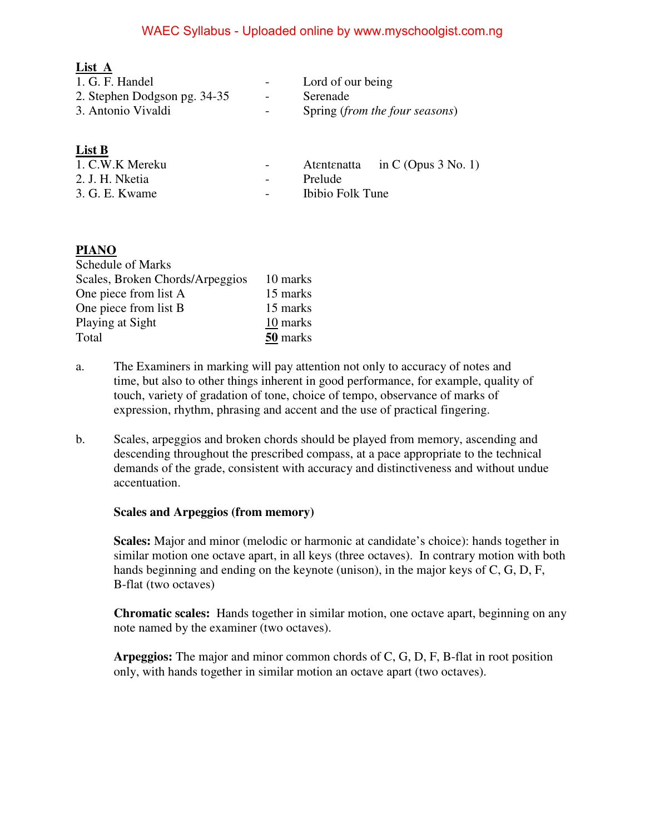| List A                       |                          |                                |
|------------------------------|--------------------------|--------------------------------|
| 1. G. F. Handel              | $\sim$                   | Lord of our being              |
| 2. Stephen Dodgson pg. 34-35 | $\overline{\phantom{a}}$ | Serenade                       |
| 3. Antonio Vivaldi           | $\overline{\phantom{0}}$ | Spring (from the four seasons) |

### **List B**

| 1. C.W.K Mereku | $\sim$ 100 $\mu$  |                  | Atentenatia in C (Opus $3$ No. 1) |
|-----------------|-------------------|------------------|-----------------------------------|
| 2. J. H. Nketia | $\sim$ 100 $\mu$  | <b>Prelude</b>   |                                   |
| 3. G. E. Kwame  | $\sim$ 100 $\sim$ | Ibibio Folk Tune |                                   |
|                 |                   |                  |                                   |

### **PIANO**

| <b>Schedule of Marks</b>        |          |
|---------------------------------|----------|
| Scales, Broken Chords/Arpeggios | 10 marks |
| One piece from list A           | 15 marks |
| One piece from list B           | 15 marks |
| Playing at Sight                | 10 marks |
| Total                           | 50 marks |

- a. The Examiners in marking will pay attention not only to accuracy of notes and time, but also to other things inherent in good performance, for example, quality of touch, variety of gradation of tone, choice of tempo, observance of marks of expression, rhythm, phrasing and accent and the use of practical fingering.
- b. Scales, arpeggios and broken chords should be played from memory, ascending and descending throughout the prescribed compass, at a pace appropriate to the technical demands of the grade, consistent with accuracy and distinctiveness and without undue accentuation.

#### **Scales and Arpeggios (from memory)**

**Scales:** Major and minor (melodic or harmonic at candidate's choice): hands together in similar motion one octave apart, in all keys (three octaves). In contrary motion with both hands beginning and ending on the keynote (unison), in the major keys of C, G, D, F, B-flat (two octaves)

**Chromatic scales:** Hands together in similar motion, one octave apart, beginning on any note named by the examiner (two octaves).

**Arpeggios:** The major and minor common chords of C, G, D, F, B-flat in root position only, with hands together in similar motion an octave apart (two octaves).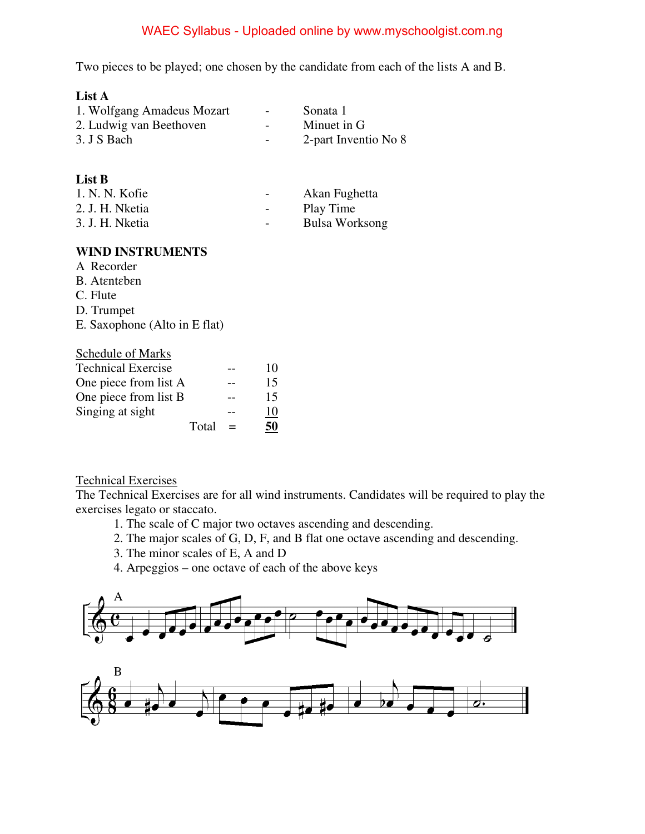Two pieces to be played; one chosen by the candidate from each of the lists A and B.

| List A                     |        |                      |
|----------------------------|--------|----------------------|
| 1. Wolfgang Amadeus Mozart | $\sim$ | Sonata 1             |
| 2. Ludwig van Beethoven    |        | Minuet in G          |
| 3. J S Bach                |        | 2-part Inventio No 8 |

#### **List B**

| 1. N. N. Kofie  | $\overline{\phantom{0}}$ | Akan Fughetta  |
|-----------------|--------------------------|----------------|
| 2. J. H. Nketia | $\overline{\phantom{a}}$ | Play Time      |
| 3. J. H. Nketia | $\overline{\phantom{0}}$ | Bulsa Worksong |

#### **WIND INSTRUMENTS**

- A Recorder
- B. Atɛntɛbɛn
- C. Flute
- D. Trumpet
- E. Saxophone (Alto in E flat)

| <b>Schedule of Marks</b>  |    |
|---------------------------|----|
| <b>Technical Exercise</b> | 10 |
| One piece from list A     | 15 |
| One piece from list B     | 15 |
| Singing at sight          | 10 |
| Total                     |    |

#### Technical Exercises

The Technical Exercises are for all wind instruments. Candidates will be required to play the exercises legato or staccato.

- 1. The scale of C major two octaves ascending and descending.
- 2. The major scales of G, D, F, and B flat one octave ascending and descending.
- 3. The minor scales of E, A and D
- 4. Arpeggios one octave of each of the above keys

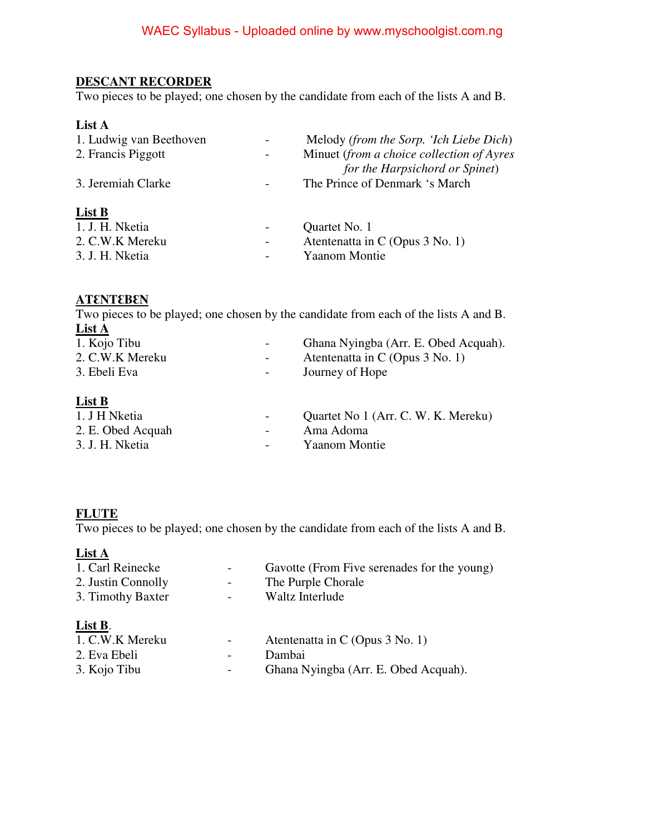# **DESCANT RECORDER**

Two pieces to be played; one chosen by the candidate from each of the lists A and B.

# **List A**

| 1. Ludwig van Beethoven | $\overline{\phantom{0}}$     | Melody (from the Sorp. 'Ich Liebe Dich)   |
|-------------------------|------------------------------|-------------------------------------------|
| 2. Francis Piggott      | $\overline{\phantom{0}}$     | Minuet (from a choice collection of Ayres |
|                         |                              | for the Harpsichord or Spinet)            |
| 3. Jeremiah Clarke      |                              | The Prince of Denmark 's March            |
|                         |                              |                                           |
| List B                  |                              |                                           |
| 1. J. H. Nketia         | $\qquad \qquad \blacksquare$ | Quartet No. 1                             |
| 2. C.W.K Mereku         | $\overline{\phantom{a}}$     | Atentenatia in C (Opus 3 No. 1)           |
| 3. J. H. Nketia         |                              | <b>Yaanom Montie</b>                      |

### $ATENTE$ **ENT**

Two pieces to be played; one chosen by the candidate from each of the lists A and B.  $\frac{\text{List A}}{1 \text{ K} \cdot \text{Si}}$  $Chone Nvingcho (Arr, E. Obad Acousb).$ 

| 1. K010 110u      | Ghana Nyingba (Arr. E. Obed Acquan). |
|-------------------|--------------------------------------|
| 2. C.W.K Mereku   | Atentenatta in C (Opus 3 No. 1)      |
| 3. Ebeli Eva      | Journey of Hope                      |
| List B            |                                      |
| 1. J H Nketia     | Quartet No 1 (Arr. C. W. K. Mereku)  |
| 2. E. Obed Acquah | Ama Adoma                            |
| 3. J. H. Nketia   | <b>Yaanom Montie</b>                 |

#### **FLUTE**

Two pieces to be played; one chosen by the candidate from each of the lists A and B.

#### **List A**

| 1. Carl Reinecke<br>2. Justin Connolly<br>3. Timothy Baxter | $\overline{\phantom{0}}$<br>$\overline{\phantom{a}}$ | Gavotte (From Five serenades for the young)<br>The Purple Chorale<br>Waltz Interlude |
|-------------------------------------------------------------|------------------------------------------------------|--------------------------------------------------------------------------------------|
| List B.<br>1. C.W.K Mereku                                  | $\overline{\phantom{0}}$                             | Atentenatta in C (Opus 3 No. 1)                                                      |
| 2. Eva Ebeli                                                |                                                      | Dambai                                                                               |

| 3. Kojo Tibu | Ghana Nyingba (Arr. E. Obed Acquah). |
|--------------|--------------------------------------|
|              |                                      |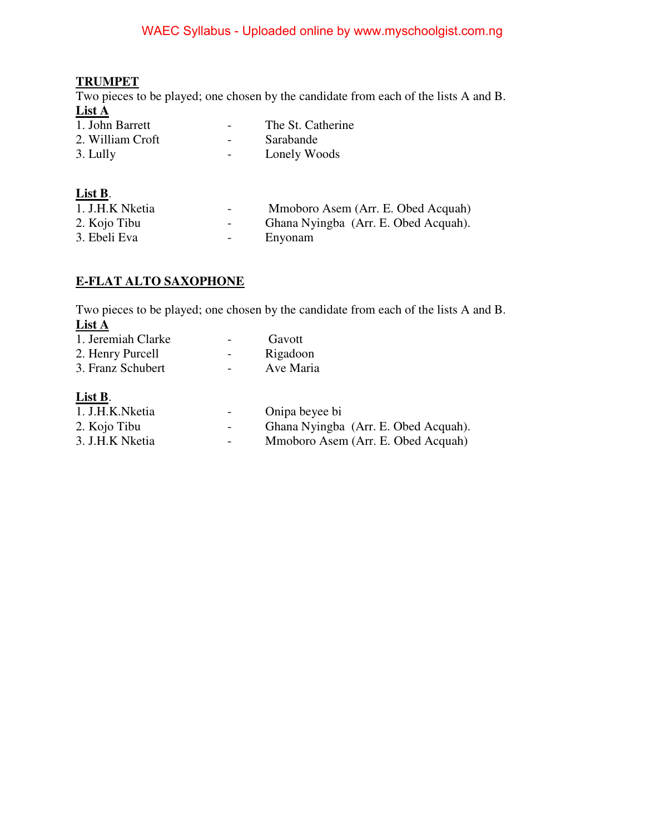# **TRUMPET**

Two pieces to be played; one chosen by the candidate from each of the lists A and B. **List A** 

| 1. John Barrett  | The St. Catherine |
|------------------|-------------------|
| 2. William Croft | Sarabande         |
| 3. Lully         | Lonely Woods      |

| List B. |  |            |  |
|---------|--|------------|--|
|         |  | 11 17 A 11 |  |

1. J.H.K Nketia - Mmoboro Asem (Arr. E. Obed Acquah)<br>2. Kojo Tibu - Ghana Nyingba (Arr. E. Obed Acquah). - Ghana Nyingba (Arr. E. Obed Acquah).<br>- Enyonam 3. Ebeli Eva - England

# **E-FLAT ALTO SAXOPHONE**

Two pieces to be played; one chosen by the candidate from each of the lists A and B. **List A** 

| 1. Jeremiah Clarke | Gavott                               |
|--------------------|--------------------------------------|
| 2. Henry Purcell   | Rigadoon                             |
| 3. Franz Schubert  | Ave Maria                            |
| List B.            |                                      |
| 1. J.H.K.Nketia    | Onipa beyee bi                       |
| 2. Kojo Tibu       | Ghana Nyingba (Arr. E. Obed Acquah). |
| 3. J.H.K Nketia    | Mmoboro Asem (Arr. E. Obed Acquah)   |
|                    |                                      |